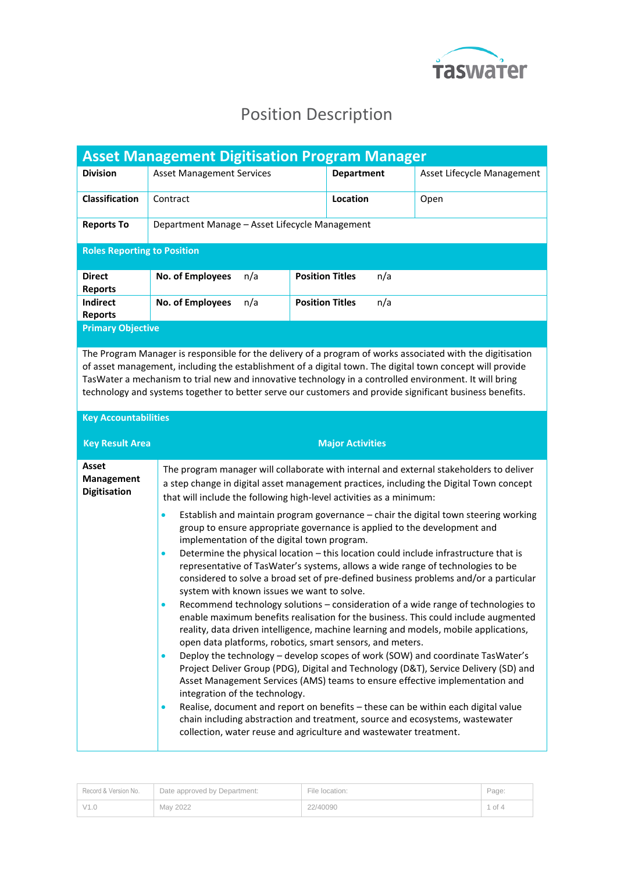

## Position Description

| <b>Asset Management Digitisation Program Manager</b> |                                                |     |                        |                   |     |                            |
|------------------------------------------------------|------------------------------------------------|-----|------------------------|-------------------|-----|----------------------------|
| <b>Division</b>                                      | <b>Asset Management Services</b>               |     |                        | <b>Department</b> |     | Asset Lifecycle Management |
| <b>Classification</b>                                | Contract                                       |     |                        | Location          |     | Open                       |
| <b>Reports To</b>                                    | Department Manage – Asset Lifecycle Management |     |                        |                   |     |                            |
| <b>Roles Reporting to Position</b>                   |                                                |     |                        |                   |     |                            |
| <b>Direct</b><br><b>Reports</b>                      | <b>No. of Employees</b>                        | n/a | <b>Position Titles</b> |                   | n/a |                            |
| Indirect<br><b>Reports</b>                           | <b>No. of Employees</b>                        | n/a | <b>Position Titles</b> |                   | n/a |                            |
| <b>Primary Objective</b>                             |                                                |     |                        |                   |     |                            |

The Program Manager is responsible for the delivery of a program of works associated with the digitisation of asset management, including the establishment of a digital town. The digital town concept will provide TasWater a mechanism to trial new and innovative technology in a controlled environment. It will bring technology and systems together to better serve our customers and provide significant business benefits.

## **Key Accountabilities**

| <b>Key Result Area</b>                     | <b>Major Activities</b>                                                                                                                                                                                                                                                                                                                   |
|--------------------------------------------|-------------------------------------------------------------------------------------------------------------------------------------------------------------------------------------------------------------------------------------------------------------------------------------------------------------------------------------------|
| Asset<br>Management<br><b>Digitisation</b> | The program manager will collaborate with internal and external stakeholders to deliver<br>a step change in digital asset management practices, including the Digital Town concept<br>that will include the following high-level activities as a minimum:                                                                                 |
|                                            | Establish and maintain program governance – chair the digital town steering working<br>$\bullet$<br>group to ensure appropriate governance is applied to the development and<br>implementation of the digital town program.                                                                                                               |
|                                            | Determine the physical location – this location could include infrastructure that is<br>$\bullet$<br>representative of TasWater's systems, allows a wide range of technologies to be<br>considered to solve a broad set of pre-defined business problems and/or a particular<br>system with known issues we want to solve.                |
|                                            | Recommend technology solutions – consideration of a wide range of technologies to<br>$\bullet$<br>enable maximum benefits realisation for the business. This could include augmented<br>reality, data driven intelligence, machine learning and models, mobile applications,<br>open data platforms, robotics, smart sensors, and meters. |
|                                            | Deploy the technology - develop scopes of work (SOW) and coordinate TasWater's<br>$\bullet$<br>Project Deliver Group (PDG), Digital and Technology (D&T), Service Delivery (SD) and<br>Asset Management Services (AMS) teams to ensure effective implementation and<br>integration of the technology.                                     |
|                                            | Realise, document and report on benefits - these can be within each digital value<br>$\bullet$<br>chain including abstraction and treatment, source and ecosystems, wastewater<br>collection, water reuse and agriculture and wastewater treatment.                                                                                       |

| Record & Version No. | Date approved by Department: | File location: | Page:      |
|----------------------|------------------------------|----------------|------------|
| V1.0                 | May 2022                     | 22/40090       | $1$ of $4$ |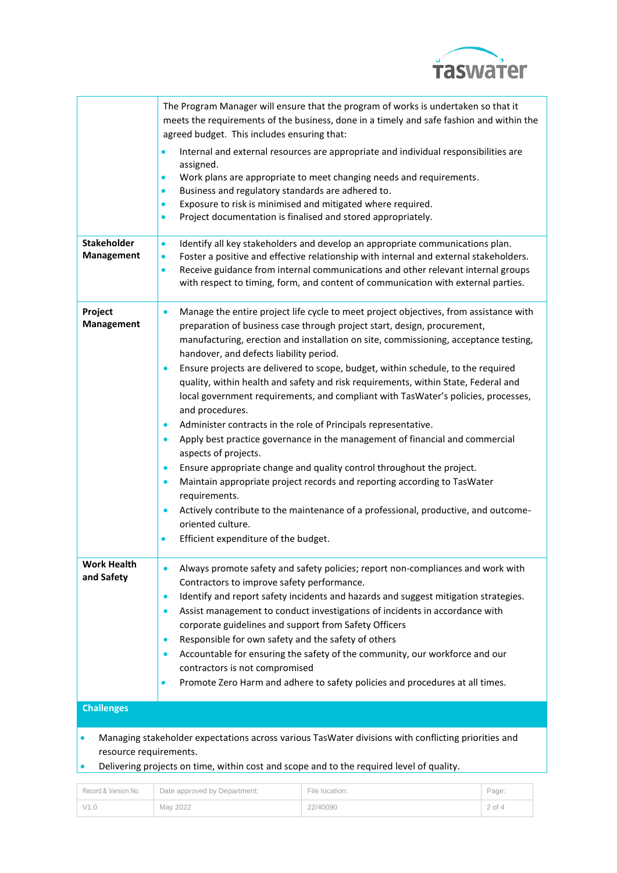

|                                         | The Program Manager will ensure that the program of works is undertaken so that it<br>meets the requirements of the business, done in a timely and safe fashion and within the<br>agreed budget. This includes ensuring that:                                                                                                                                                          |  |  |
|-----------------------------------------|----------------------------------------------------------------------------------------------------------------------------------------------------------------------------------------------------------------------------------------------------------------------------------------------------------------------------------------------------------------------------------------|--|--|
|                                         | Internal and external resources are appropriate and individual responsibilities are<br>$\bullet$<br>assigned.<br>Work plans are appropriate to meet changing needs and requirements.<br>$\bullet$                                                                                                                                                                                      |  |  |
|                                         | Business and regulatory standards are adhered to.<br>$\bullet$<br>Exposure to risk is minimised and mitigated where required.<br>$\bullet$                                                                                                                                                                                                                                             |  |  |
|                                         | Project documentation is finalised and stored appropriately.<br>$\bullet$                                                                                                                                                                                                                                                                                                              |  |  |
| <b>Stakeholder</b><br><b>Management</b> | Identify all key stakeholders and develop an appropriate communications plan.<br>$\bullet$<br>Foster a positive and effective relationship with internal and external stakeholders.<br>$\bullet$<br>Receive guidance from internal communications and other relevant internal groups<br>$\bullet$<br>with respect to timing, form, and content of communication with external parties. |  |  |
| Project<br>Management                   | Manage the entire project life cycle to meet project objectives, from assistance with<br>$\bullet$<br>preparation of business case through project start, design, procurement,<br>manufacturing, erection and installation on site, commissioning, acceptance testing,<br>handover, and defects liability period.                                                                      |  |  |
|                                         | Ensure projects are delivered to scope, budget, within schedule, to the required<br>$\bullet$<br>quality, within health and safety and risk requirements, within State, Federal and<br>local government requirements, and compliant with TasWater's policies, processes,<br>and procedures.                                                                                            |  |  |
|                                         | Administer contracts in the role of Principals representative.<br>$\bullet$<br>Apply best practice governance in the management of financial and commercial<br>$\bullet$<br>aspects of projects.                                                                                                                                                                                       |  |  |
|                                         | Ensure appropriate change and quality control throughout the project.<br>$\bullet$<br>Maintain appropriate project records and reporting according to TasWater<br>$\bullet$                                                                                                                                                                                                            |  |  |
|                                         | requirements.<br>Actively contribute to the maintenance of a professional, productive, and outcome-<br>$\bullet$<br>oriented culture.                                                                                                                                                                                                                                                  |  |  |
|                                         | Efficient expenditure of the budget.<br>$\bullet$                                                                                                                                                                                                                                                                                                                                      |  |  |
| Work Health<br>and Safety               | Always promote safety and safety policies; report non-compliances and work with<br>Contractors to improve safety performance.                                                                                                                                                                                                                                                          |  |  |
|                                         | Identify and report safety incidents and hazards and suggest mitigation strategies.<br>$\bullet$<br>Assist management to conduct investigations of incidents in accordance with<br>$\bullet$<br>corporate guidelines and support from Safety Officers                                                                                                                                  |  |  |
|                                         | Responsible for own safety and the safety of others<br>$\bullet$<br>Accountable for ensuring the safety of the community, our workforce and our<br>$\bullet$                                                                                                                                                                                                                           |  |  |
|                                         | contractors is not compromised<br>Promote Zero Harm and adhere to safety policies and procedures at all times.<br>$\bullet$                                                                                                                                                                                                                                                            |  |  |
| <b>Challenges</b>                       |                                                                                                                                                                                                                                                                                                                                                                                        |  |  |
| resource requirements.                  | Managing stakeholder expectations across various TasWater divisions with conflicting priorities and<br>Delivering projects on time, within cost and scope and to the required level of quality.                                                                                                                                                                                        |  |  |
|                                         |                                                                                                                                                                                                                                                                                                                                                                                        |  |  |

| Record & Version No. | Date approved by Department: | File location: | Page:    |
|----------------------|------------------------------|----------------|----------|
| V1.0                 | May 2022                     | 22/40090       | $2$ of 4 |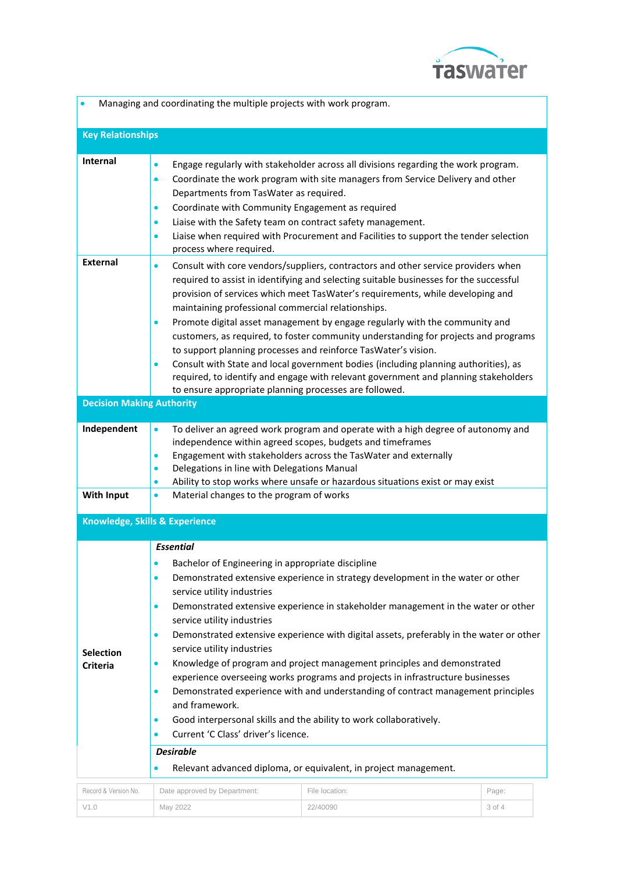

| Managing and coordinating the multiple projects with work program.                                                                                                                                                                                                                                                                                                                                                                                                                                                                                                                                                                                                                                                                                                                                                                                                                                                                                                                                                                                        |                                                                                                                                                                                                                                                                                                                                                                                                                                                                                                                                                                                                                                                                                                                                                                                                                                            |                |        |  |  |
|-----------------------------------------------------------------------------------------------------------------------------------------------------------------------------------------------------------------------------------------------------------------------------------------------------------------------------------------------------------------------------------------------------------------------------------------------------------------------------------------------------------------------------------------------------------------------------------------------------------------------------------------------------------------------------------------------------------------------------------------------------------------------------------------------------------------------------------------------------------------------------------------------------------------------------------------------------------------------------------------------------------------------------------------------------------|--------------------------------------------------------------------------------------------------------------------------------------------------------------------------------------------------------------------------------------------------------------------------------------------------------------------------------------------------------------------------------------------------------------------------------------------------------------------------------------------------------------------------------------------------------------------------------------------------------------------------------------------------------------------------------------------------------------------------------------------------------------------------------------------------------------------------------------------|----------------|--------|--|--|
| <b>Key Relationships</b>                                                                                                                                                                                                                                                                                                                                                                                                                                                                                                                                                                                                                                                                                                                                                                                                                                                                                                                                                                                                                                  |                                                                                                                                                                                                                                                                                                                                                                                                                                                                                                                                                                                                                                                                                                                                                                                                                                            |                |        |  |  |
| <b>Internal</b>                                                                                                                                                                                                                                                                                                                                                                                                                                                                                                                                                                                                                                                                                                                                                                                                                                                                                                                                                                                                                                           | Engage regularly with stakeholder across all divisions regarding the work program.<br>$\bullet$<br>Coordinate the work program with site managers from Service Delivery and other<br>۰<br>Departments from TasWater as required.<br>Coordinate with Community Engagement as required<br>$\bullet$<br>Liaise with the Safety team on contract safety management.<br>$\bullet$<br>Liaise when required with Procurement and Facilities to support the tender selection<br>$\bullet$<br>process where required.                                                                                                                                                                                                                                                                                                                               |                |        |  |  |
| <b>External</b>                                                                                                                                                                                                                                                                                                                                                                                                                                                                                                                                                                                                                                                                                                                                                                                                                                                                                                                                                                                                                                           | Consult with core vendors/suppliers, contractors and other service providers when<br>$\bullet$<br>required to assist in identifying and selecting suitable businesses for the successful<br>provision of services which meet TasWater's requirements, while developing and<br>maintaining professional commercial relationships.<br>Promote digital asset management by engage regularly with the community and<br>$\bullet$<br>customers, as required, to foster community understanding for projects and programs<br>to support planning processes and reinforce TasWater's vision.<br>Consult with State and local government bodies (including planning authorities), as<br>$\bullet$<br>required, to identify and engage with relevant government and planning stakeholders<br>to ensure appropriate planning processes are followed. |                |        |  |  |
| <b>Decision Making Authority</b>                                                                                                                                                                                                                                                                                                                                                                                                                                                                                                                                                                                                                                                                                                                                                                                                                                                                                                                                                                                                                          |                                                                                                                                                                                                                                                                                                                                                                                                                                                                                                                                                                                                                                                                                                                                                                                                                                            |                |        |  |  |
| Independent<br><b>With Input</b>                                                                                                                                                                                                                                                                                                                                                                                                                                                                                                                                                                                                                                                                                                                                                                                                                                                                                                                                                                                                                          | To deliver an agreed work program and operate with a high degree of autonomy and<br>$\bullet$<br>independence within agreed scopes, budgets and timeframes<br>Engagement with stakeholders across the TasWater and externally<br>$\bullet$<br>Delegations in line with Delegations Manual<br>$\bullet$<br>Ability to stop works where unsafe or hazardous situations exist or may exist<br>$\bullet$<br>Material changes to the program of works<br>$\bullet$                                                                                                                                                                                                                                                                                                                                                                              |                |        |  |  |
| Knowledge, Skills & Experience                                                                                                                                                                                                                                                                                                                                                                                                                                                                                                                                                                                                                                                                                                                                                                                                                                                                                                                                                                                                                            |                                                                                                                                                                                                                                                                                                                                                                                                                                                                                                                                                                                                                                                                                                                                                                                                                                            |                |        |  |  |
|                                                                                                                                                                                                                                                                                                                                                                                                                                                                                                                                                                                                                                                                                                                                                                                                                                                                                                                                                                                                                                                           |                                                                                                                                                                                                                                                                                                                                                                                                                                                                                                                                                                                                                                                                                                                                                                                                                                            |                |        |  |  |
| <b>Essential</b><br>Bachelor of Engineering in appropriate discipline<br>$\bullet$<br>Demonstrated extensive experience in strategy development in the water or other<br>$\bullet$<br>service utility industries<br>Demonstrated extensive experience in stakeholder management in the water or other<br>$\bullet$<br>service utility industries<br>Demonstrated extensive experience with digital assets, preferably in the water or other<br>$\bullet$<br>service utility industries<br><b>Selection</b><br>Knowledge of program and project management principles and demonstrated<br>$\bullet$<br><b>Criteria</b><br>experience overseeing works programs and projects in infrastructure businesses<br>Demonstrated experience with and understanding of contract management principles<br>$\bullet$<br>and framework.<br>Good interpersonal skills and the ability to work collaboratively.<br>$\bullet$<br>Current 'C Class' driver's licence.<br>$\bullet$<br><b>Desirable</b><br>Relevant advanced diploma, or equivalent, in project management. |                                                                                                                                                                                                                                                                                                                                                                                                                                                                                                                                                                                                                                                                                                                                                                                                                                            |                |        |  |  |
| Record & Version No.                                                                                                                                                                                                                                                                                                                                                                                                                                                                                                                                                                                                                                                                                                                                                                                                                                                                                                                                                                                                                                      | Date approved by Department:                                                                                                                                                                                                                                                                                                                                                                                                                                                                                                                                                                                                                                                                                                                                                                                                               | File location: | Page:  |  |  |
| V1.0                                                                                                                                                                                                                                                                                                                                                                                                                                                                                                                                                                                                                                                                                                                                                                                                                                                                                                                                                                                                                                                      | May 2022                                                                                                                                                                                                                                                                                                                                                                                                                                                                                                                                                                                                                                                                                                                                                                                                                                   | 22/40090       | 3 of 4 |  |  |